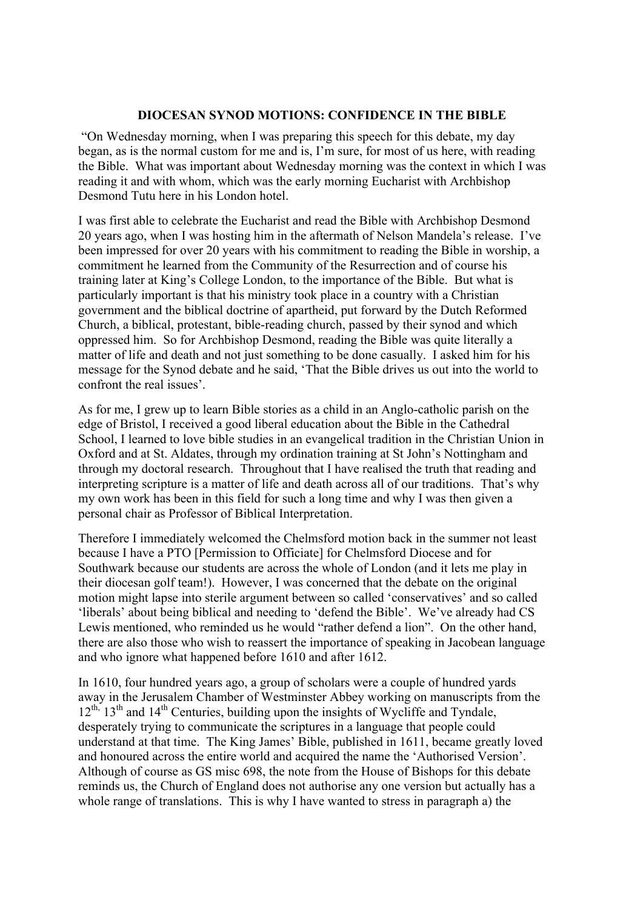## **DIOCESAN SYNOD MOTIONS: CONFIDENCE IN THE BIBLE**

"On Wednesday morning, when I was preparing this speech for this debate, my day began, as is the normal custom for me and is, I'm sure, for most of us here, with reading the Bible. What was important about Wednesday morning was the context in which I was reading it and with whom, which was the early morning Eucharist with Archbishop Desmond Tutu here in his London hotel.

I was first able to celebrate the Eucharist and read the Bible with Archbishop Desmond 20 years ago, when I was hosting him in the aftermath of Nelson Mandela's release. I've been impressed for over 20 years with his commitment to reading the Bible in worship, a commitment he learned from the Community of the Resurrection and of course his training later at King's College London, to the importance of the Bible. But what is particularly important is that his ministry took place in a country with a Christian government and the biblical doctrine of apartheid, put forward by the Dutch Reformed Church, a biblical, protestant, bible-reading church, passed by their synod and which oppressed him. So for Archbishop Desmond, reading the Bible was quite literally a matter of life and death and not just something to be done casually. I asked him for his message for the Synod debate and he said, 'That the Bible drives us out into the world to confront the real issues'.

As for me, I grew up to learn Bible stories as a child in an Anglo-catholic parish on the edge of Bristol, I received a good liberal education about the Bible in the Cathedral School, I learned to love bible studies in an evangelical tradition in the Christian Union in Oxford and at St. Aldates, through my ordination training at St John's Nottingham and through my doctoral research. Throughout that I have realised the truth that reading and interpreting scripture is a matter of life and death across all of our traditions. That's why my own work has been in this field for such a long time and why I was then given a personal chair as Professor of Biblical Interpretation.

Therefore I immediately welcomed the Chelmsford motion back in the summer not least because I have a PTO [Permission to Officiate] for Chelmsford Diocese and for Southwark because our students are across the whole of London (and it lets me play in their diocesan golf team!). However, I was concerned that the debate on the original motion might lapse into sterile argument between so called 'conservatives' and so called 'liberals' about being biblical and needing to 'defend the Bible'. We've already had CS Lewis mentioned, who reminded us he would "rather defend a lion". On the other hand, there are also those who wish to reassert the importance of speaking in Jacobean language and who ignore what happened before 1610 and after 1612.

In 1610, four hundred years ago, a group of scholars were a couple of hundred yards away in the Jerusalem Chamber of Westminster Abbey working on manuscripts from the 12<sup>th,</sup> 13<sup>th</sup> and 14<sup>th</sup> Centuries, building upon the insights of Wycliffe and Tyndale, desperately trying to communicate the scriptures in a language that people could understand at that time. The King James' Bible, published in 1611, became greatly loved and honoured across the entire world and acquired the name the 'Authorised Version'. Although of course as GS misc 698, the note from the House of Bishops for this debate reminds us, the Church of England does not authorise any one version but actually has a whole range of translations. This is why I have wanted to stress in paragraph a) the